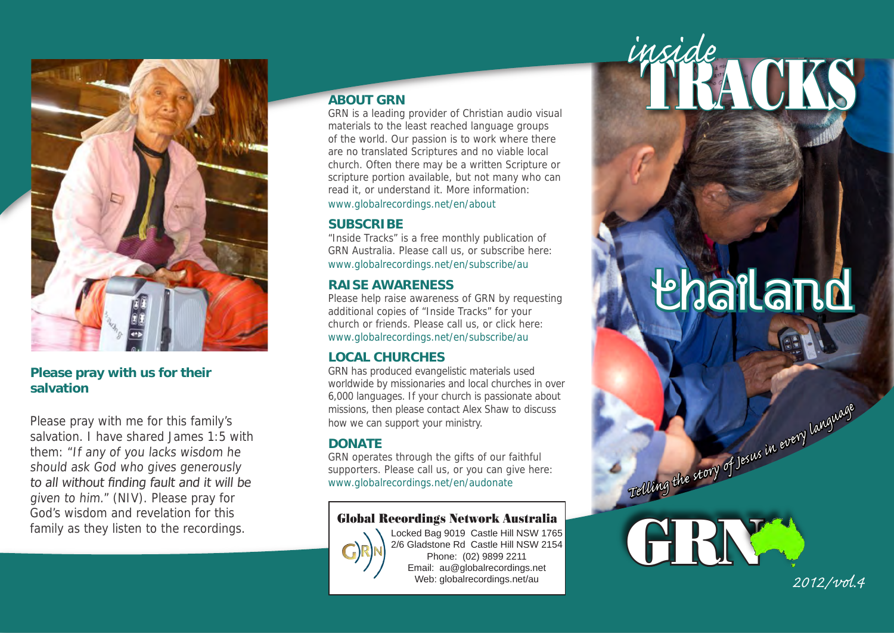

### **Please pray with us for their salvation**

Please pray with me for this family's salvation. I have shared James 1:5 with them: "If any of you lacks wisdom he should ask God who gives generously to all without finding fault and it will be given to him." (NIV). Please pray for God's wisdom and revelation for this family as they listen to the recordings.

### **ABOUT GRN**

GRN is a leading provider of Christian audio visual materials to the least reached language groups of the world. Our passion is to work where there are no translated Scriptures and no viable local church. Often there may be a written Scripture or scripture portion available, but not many who can read it, or understand it. More information:

[www.globalrecordings.net/en/about](http://globalrecordings.net/en/about)

### **SUBSCRIBE**

"Inside Tracks" is a free monthly publication of GRN Australia. Please call us, or subscribe here: [www.globalrecordings.net/en/subscribe/au](http://globalrecordings.net/en/subscribe/au)

### **RAISE AWARENESS**

Please help raise awareness of GRN by requesting additional copies of "Inside Tracks" for your church or friends. Please call us, or click here: [www.globalrecordings.net/en/subscribe/au](http://globalrecordings.net/en/subscribe/au)

## **LOCAL CHURCHES**

GRN has produced evangelistic materials used worldwide by missionaries and local churches in over 6,000 languages. If your church is passionate about missions, then please contact Alex Shaw to discuss how we can support your ministry.

#### **DONATE**

GRN operates through the gifts of our faithful supporters. Please call us, or you can give here: [www.globalrecordings.net/en/audonate](http://globalrecordings.net/en/audonate)

# Global Recordings Network Australia



Locked Bag 9019 Castle Hill NSW 1765 2/6 Gladstone Rd Castle Hill NSW 2154 Phone: (02) 9899 2211 Email: au@globalrecordings.net Web: globalrecordings.net/au

# **Lhailand**

TRACKS *inside*

Telling the story of Jesus in every languag



*2012/vol.4*